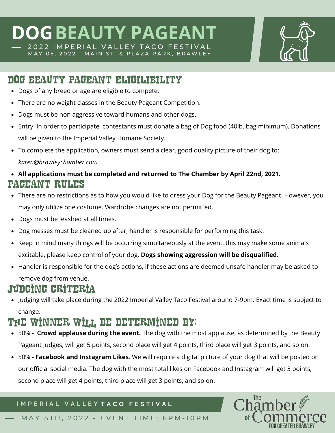## **DOGBEAUTY PAGEA** 2022 IMPERIAL VALLEY TACO FESTIVAL

MAY 05, 2022 - MAIN ST. & PLAZA PARK, BRAWLEY

### DOG BEAUTY PAGEANT ELIGILIBILITY

- Dogs of any breed or age are eligible to compete.
- There are no weight classes in the Beauty Pageant Competition.
- Dogs must be non aggressive toward humans and other dogs.
- Entry: In order to participate, contestants must donate a bag of Dog food (40lb. bag minimum). Donations will be given to the Imperial Valley Humane Society.
- To complete the application, owners must send a clear, good quality picture of their dog to: *karen@brawleychamber.com*

#### **All applications must be completed and returned to The Chamber by April 22nd, 2021.**  PAGEANT RULES

- There are no restrictions as to how you would like to dress your Dog for the Beauty Pageant. However, you may only utilize one costume. Wardrobe changes are not permitted.
- Dogs must be leashed at all times.
- Dog messes must be cleaned up after, handler is responsible for performing this task.
- Keep in mind many things will be occurring simultaneously at the event, this may make some animals excitable, please keep control of your dog. **Dogs showing aggression will be disqualified.**
- Handler is responsible for the dog's actions, if these actions are deemed unsafe handler may be asked to remove dog from venue.

## Judging criteria

Judging will take place during the 2022 Imperial Valley Taco Festival around 7-9pm. Exact time is subject to change.

## The winner will be determined by:

- 50% **Crowd applause during the event.** The dog with the most applause, as determined by the Beauty Pageant Judges, will get 5 points, second place will get 4 points, third place will get 3 points, and so on.
- 50% **Facebook and Instagram Likes**. We will require a digital picture of your dog that will be posted on our official social media. The dog with the most total likes on Facebook and Instagram will get 5 points, second place will get 4 points, third place will get 3 points, and so on.

#### **I M P E R I A L V A L L E Y T A C O F E S T I V A L**



MAY 5TH, 2022 - EVENT TIME: 6PM-10PM